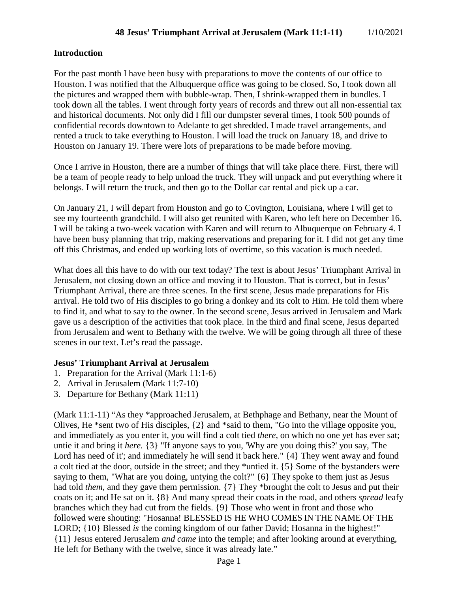## **Introduction**

For the past month I have been busy with preparations to move the contents of our office to Houston. I was notified that the Albuquerque office was going to be closed. So, I took down all the pictures and wrapped them with bubble-wrap. Then, I shrink-wrapped them in bundles. I took down all the tables. I went through forty years of records and threw out all non-essential tax and historical documents. Not only did I fill our dumpster several times, I took 500 pounds of confidential records downtown to Adelante to get shredded. I made travel arrangements, and rented a truck to take everything to Houston. I will load the truck on January 18, and drive to Houston on January 19. There were lots of preparations to be made before moving.

Once I arrive in Houston, there are a number of things that will take place there. First, there will be a team of people ready to help unload the truck. They will unpack and put everything where it belongs. I will return the truck, and then go to the Dollar car rental and pick up a car.

On January 21, I will depart from Houston and go to Covington, Louisiana, where I will get to see my fourteenth grandchild. I will also get reunited with Karen, who left here on December 16. I will be taking a two-week vacation with Karen and will return to Albuquerque on February 4. I have been busy planning that trip, making reservations and preparing for it. I did not get any time off this Christmas, and ended up working lots of overtime, so this vacation is much needed.

What does all this have to do with our text today? The text is about Jesus' Triumphant Arrival in Jerusalem, not closing down an office and moving it to Houston. That is correct, but in Jesus' Triumphant Arrival, there are three scenes. In the first scene, Jesus made preparations for His arrival. He told two of His disciples to go bring a donkey and its colt to Him. He told them where to find it, and what to say to the owner. In the second scene, Jesus arrived in Jerusalem and Mark gave us a description of the activities that took place. In the third and final scene, Jesus departed from Jerusalem and went to Bethany with the twelve. We will be going through all three of these scenes in our text. Let's read the passage.

#### **Jesus' Triumphant Arrival at Jerusalem**

- 1. Preparation for the Arrival (Mark 11:1-6)
- 2. Arrival in Jerusalem (Mark 11:7-10)
- 3. Departure for Bethany (Mark 11:11)

(Mark 11:1-11) "As they \*approached Jerusalem, at Bethphage and Bethany, near the Mount of Olives, He \*sent two of His disciples, {2} and \*said to them, "Go into the village opposite you, and immediately as you enter it, you will find a colt tied *there,* on which no one yet has ever sat; untie it and bring it *here.* {3} "If anyone says to you, 'Why are you doing this?' you say, 'The Lord has need of it'; and immediately he will send it back here."  $\{4\}$  They went away and found a colt tied at the door, outside in the street; and they \*untied it. {5} Some of the bystanders were saying to them, "What are you doing, untying the colt?" {6} They spoke to them just as Jesus had told *them,* and they gave them permission. {7} They \*brought the colt to Jesus and put their coats on it; and He sat on it. {8} And many spread their coats in the road, and others *spread* leafy branches which they had cut from the fields. {9} Those who went in front and those who followed were shouting: "Hosanna! BLESSED IS HE WHO COMES IN THE NAME OF THE LORD; {10} Blessed *is* the coming kingdom of our father David; Hosanna in the highest!" {11} Jesus entered Jerusalem *and came* into the temple; and after looking around at everything, He left for Bethany with the twelve, since it was already late."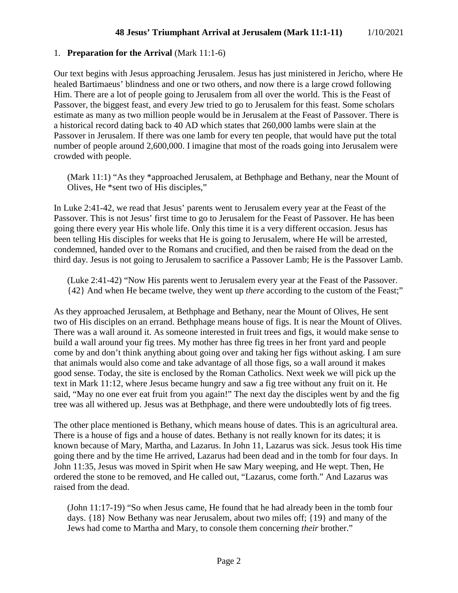### 1. **Preparation for the Arrival** (Mark 11:1-6)

Our text begins with Jesus approaching Jerusalem. Jesus has just ministered in Jericho, where He healed Bartimaeus' blindness and one or two others, and now there is a large crowd following Him. There are a lot of people going to Jerusalem from all over the world. This is the Feast of Passover, the biggest feast, and every Jew tried to go to Jerusalem for this feast. Some scholars estimate as many as two million people would be in Jerusalem at the Feast of Passover. There is a historical record dating back to 40 AD which states that 260,000 lambs were slain at the Passover in Jerusalem. If there was one lamb for every ten people, that would have put the total number of people around 2,600,000. I imagine that most of the roads going into Jerusalem were crowded with people.

(Mark 11:1) "As they \*approached Jerusalem, at Bethphage and Bethany, near the Mount of Olives, He \*sent two of His disciples,"

In Luke 2:41-42, we read that Jesus' parents went to Jerusalem every year at the Feast of the Passover. This is not Jesus' first time to go to Jerusalem for the Feast of Passover. He has been going there every year His whole life. Only this time it is a very different occasion. Jesus has been telling His disciples for weeks that He is going to Jerusalem, where He will be arrested, condemned, handed over to the Romans and crucified, and then be raised from the dead on the third day. Jesus is not going to Jerusalem to sacrifice a Passover Lamb; He is the Passover Lamb.

(Luke 2:41-42) "Now His parents went to Jerusalem every year at the Feast of the Passover. {42} And when He became twelve, they went up *there* according to the custom of the Feast;"

As they approached Jerusalem, at Bethphage and Bethany, near the Mount of Olives, He sent two of His disciples on an errand. Bethphage means house of figs. It is near the Mount of Olives. There was a wall around it. As someone interested in fruit trees and figs, it would make sense to build a wall around your fig trees. My mother has three fig trees in her front yard and people come by and don't think anything about going over and taking her figs without asking. I am sure that animals would also come and take advantage of all those figs, so a wall around it makes good sense. Today, the site is enclosed by the Roman Catholics. Next week we will pick up the text in Mark 11:12, where Jesus became hungry and saw a fig tree without any fruit on it. He said, "May no one ever eat fruit from you again!" The next day the disciples went by and the fig tree was all withered up. Jesus was at Bethphage, and there were undoubtedly lots of fig trees.

The other place mentioned is Bethany, which means house of dates. This is an agricultural area. There is a house of figs and a house of dates. Bethany is not really known for its dates; it is known because of Mary, Martha, and Lazarus. In John 11, Lazarus was sick. Jesus took His time going there and by the time He arrived, Lazarus had been dead and in the tomb for four days. In John 11:35, Jesus was moved in Spirit when He saw Mary weeping, and He wept. Then, He ordered the stone to be removed, and He called out, "Lazarus, come forth." And Lazarus was raised from the dead.

(John 11:17-19) "So when Jesus came, He found that he had already been in the tomb four days. {18} Now Bethany was near Jerusalem, about two miles off; {19} and many of the Jews had come to Martha and Mary, to console them concerning *their* brother."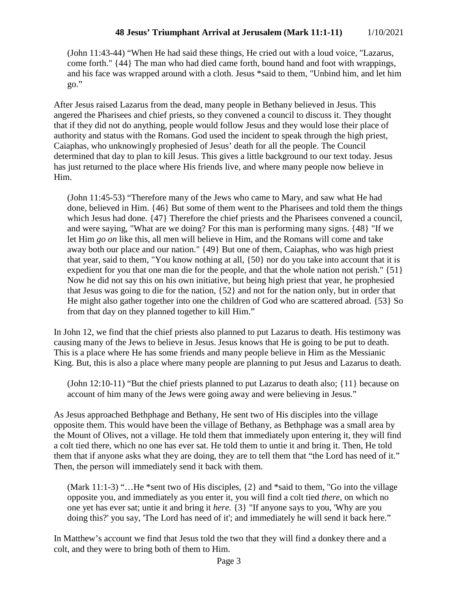(John 11:43-44) "When He had said these things, He cried out with a loud voice, "Lazarus, come forth." {44} The man who had died came forth, bound hand and foot with wrappings, and his face was wrapped around with a cloth. Jesus \*said to them, "Unbind him, and let him go."

After Jesus raised Lazarus from the dead, many people in Bethany believed in Jesus. This angered the Pharisees and chief priests, so they convened a council to discuss it. They thought that if they did not do anything, people would follow Jesus and they would lose their place of authority and status with the Romans. God used the incident to speak through the high priest, Caiaphas, who unknowingly prophesied of Jesus' death for all the people. The Council determined that day to plan to kill Jesus. This gives a little background to our text today. Jesus has just returned to the place where His friends live, and where many people now believe in Him.

(John 11:45-53) "Therefore many of the Jews who came to Mary, and saw what He had done, believed in Him. {46} But some of them went to the Pharisees and told them the things which Jesus had done. {47} Therefore the chief priests and the Pharisees convened a council, and were saying, "What are we doing? For this man is performing many signs. {48} "If we let Him *go on* like this, all men will believe in Him, and the Romans will come and take away both our place and our nation." {49} But one of them, Caiaphas, who was high priest that year, said to them, "You know nothing at all, {50} nor do you take into account that it is expedient for you that one man die for the people, and that the whole nation not perish." {51} Now he did not say this on his own initiative, but being high priest that year, he prophesied that Jesus was going to die for the nation, {52} and not for the nation only, but in order that He might also gather together into one the children of God who are scattered abroad. {53} So from that day on they planned together to kill Him."

In John 12, we find that the chief priests also planned to put Lazarus to death. His testimony was causing many of the Jews to believe in Jesus. Jesus knows that He is going to be put to death. This is a place where He has some friends and many people believe in Him as the Messianic King. But, this is also a place where many people are planning to put Jesus and Lazarus to death.

(John 12:10-11) "But the chief priests planned to put Lazarus to death also; {11} because on account of him many of the Jews were going away and were believing in Jesus."

As Jesus approached Bethphage and Bethany, He sent two of His disciples into the village opposite them. This would have been the village of Bethany, as Bethphage was a small area by the Mount of Olives, not a village. He told them that immediately upon entering it, they will find a colt tied there, which no one has ever sat. He told them to untie it and bring it. Then, He told them that if anyone asks what they are doing, they are to tell them that "the Lord has need of it." Then, the person will immediately send it back with them.

(Mark 11:1-3) "…He \*sent two of His disciples, {2} and \*said to them, "Go into the village opposite you, and immediately as you enter it, you will find a colt tied *there,* on which no one yet has ever sat; untie it and bring it *here.* {3} "If anyone says to you, 'Why are you doing this?' you say, 'The Lord has need of it'; and immediately he will send it back here."

In Matthew's account we find that Jesus told the two that they will find a donkey there and a colt, and they were to bring both of them to Him.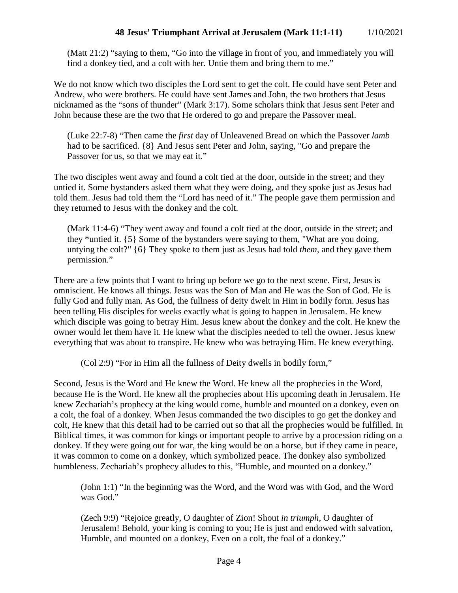## **48 Jesus' Triumphant Arrival at Jerusalem (Mark 11:1-11)** 1/10/2021

(Matt 21:2) "saying to them, "Go into the village in front of you, and immediately you will find a donkey tied, and a colt with her. Untie them and bring them to me."

We do not know which two disciples the Lord sent to get the colt. He could have sent Peter and Andrew, who were brothers. He could have sent James and John, the two brothers that Jesus nicknamed as the "sons of thunder" (Mark 3:17). Some scholars think that Jesus sent Peter and John because these are the two that He ordered to go and prepare the Passover meal.

(Luke 22:7-8) "Then came the *first* day of Unleavened Bread on which the Passover *lamb* had to be sacrificed. {8} And Jesus sent Peter and John, saying, "Go and prepare the Passover for us, so that we may eat it."

The two disciples went away and found a colt tied at the door, outside in the street; and they untied it. Some bystanders asked them what they were doing, and they spoke just as Jesus had told them. Jesus had told them the "Lord has need of it." The people gave them permission and they returned to Jesus with the donkey and the colt.

(Mark 11:4-6) "They went away and found a colt tied at the door, outside in the street; and they \*untied it. {5} Some of the bystanders were saying to them, "What are you doing, untying the colt?" {6} They spoke to them just as Jesus had told *them,* and they gave them permission."

There are a few points that I want to bring up before we go to the next scene. First, Jesus is omniscient. He knows all things. Jesus was the Son of Man and He was the Son of God. He is fully God and fully man. As God, the fullness of deity dwelt in Him in bodily form. Jesus has been telling His disciples for weeks exactly what is going to happen in Jerusalem. He knew which disciple was going to betray Him. Jesus knew about the donkey and the colt. He knew the owner would let them have it. He knew what the disciples needed to tell the owner. Jesus knew everything that was about to transpire. He knew who was betraying Him. He knew everything.

(Col 2:9) "For in Him all the fullness of Deity dwells in bodily form,"

Second, Jesus is the Word and He knew the Word. He knew all the prophecies in the Word, because He is the Word. He knew all the prophecies about His upcoming death in Jerusalem. He knew Zechariah's prophecy at the king would come, humble and mounted on a donkey, even on a colt, the foal of a donkey. When Jesus commanded the two disciples to go get the donkey and colt, He knew that this detail had to be carried out so that all the prophecies would be fulfilled. In Biblical times, it was common for kings or important people to arrive by a procession riding on a donkey. If they were going out for war, the king would be on a horse, but if they came in peace, it was common to come on a donkey, which symbolized peace. The donkey also symbolized humbleness. Zechariah's prophecy alludes to this, "Humble, and mounted on a donkey."

(John 1:1) "In the beginning was the Word, and the Word was with God, and the Word was God."

(Zech 9:9) "Rejoice greatly, O daughter of Zion! Shout *in triumph,* O daughter of Jerusalem! Behold, your king is coming to you; He is just and endowed with salvation, Humble, and mounted on a donkey, Even on a colt, the foal of a donkey."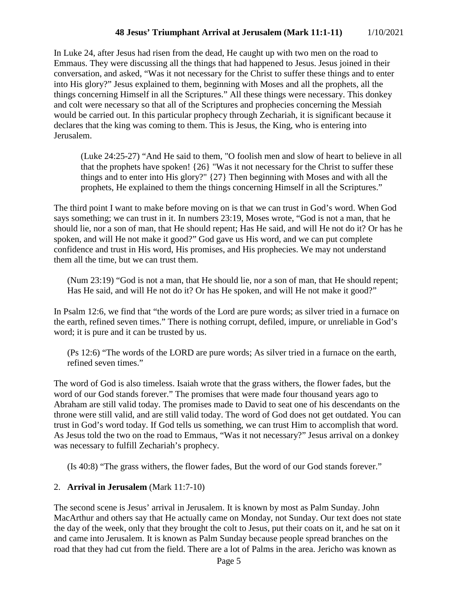# **48 Jesus' Triumphant Arrival at Jerusalem (Mark 11:1-11)** 1/10/2021

In Luke 24, after Jesus had risen from the dead, He caught up with two men on the road to Emmaus. They were discussing all the things that had happened to Jesus. Jesus joined in their conversation, and asked, "Was it not necessary for the Christ to suffer these things and to enter into His glory?" Jesus explained to them, beginning with Moses and all the prophets, all the things concerning Himself in all the Scriptures." All these things were necessary. This donkey and colt were necessary so that all of the Scriptures and prophecies concerning the Messiah would be carried out. In this particular prophecy through Zechariah, it is significant because it declares that the king was coming to them. This is Jesus, the King, who is entering into Jerusalem.

(Luke 24:25-27) "And He said to them, "O foolish men and slow of heart to believe in all that the prophets have spoken! {26} "Was it not necessary for the Christ to suffer these things and to enter into His glory?" {27} Then beginning with Moses and with all the prophets, He explained to them the things concerning Himself in all the Scriptures."

The third point I want to make before moving on is that we can trust in God's word. When God says something; we can trust in it. In numbers 23:19, Moses wrote, "God is not a man, that he should lie, nor a son of man, that He should repent; Has He said, and will He not do it? Or has he spoken, and will He not make it good?" God gave us His word, and we can put complete confidence and trust in His word, His promises, and His prophecies. We may not understand them all the time, but we can trust them.

(Num 23:19) "God is not a man, that He should lie, nor a son of man, that He should repent; Has He said, and will He not do it? Or has He spoken, and will He not make it good?"

In Psalm 12:6, we find that "the words of the Lord are pure words; as silver tried in a furnace on the earth, refined seven times." There is nothing corrupt, defiled, impure, or unreliable in God's word; it is pure and it can be trusted by us.

(Ps 12:6) "The words of the LORD are pure words; As silver tried in a furnace on the earth, refined seven times."

The word of God is also timeless. Isaiah wrote that the grass withers, the flower fades, but the word of our God stands forever." The promises that were made four thousand years ago to Abraham are still valid today. The promises made to David to seat one of his descendants on the throne were still valid, and are still valid today. The word of God does not get outdated. You can trust in God's word today. If God tells us something, we can trust Him to accomplish that word. As Jesus told the two on the road to Emmaus, "Was it not necessary?" Jesus arrival on a donkey was necessary to fulfill Zechariah's prophecy.

(Is 40:8) "The grass withers, the flower fades, But the word of our God stands forever."

### 2. **Arrival in Jerusalem** (Mark 11:7-10)

The second scene is Jesus' arrival in Jerusalem. It is known by most as Palm Sunday. John MacArthur and others say that He actually came on Monday, not Sunday. Our text does not state the day of the week, only that they brought the colt to Jesus, put their coats on it, and he sat on it and came into Jerusalem. It is known as Palm Sunday because people spread branches on the road that they had cut from the field. There are a lot of Palms in the area. Jericho was known as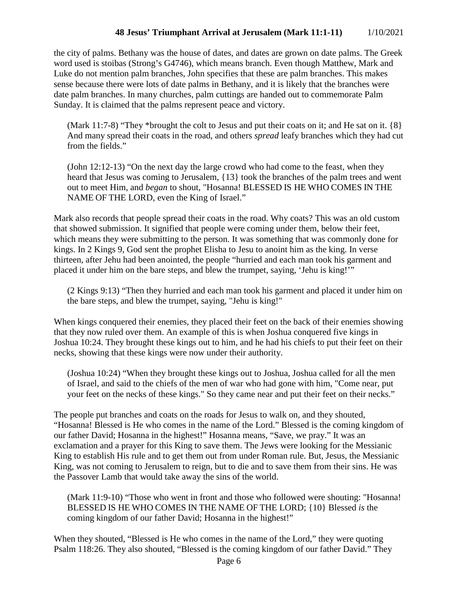# **48 Jesus' Triumphant Arrival at Jerusalem (Mark 11:1-11)** 1/10/2021

the city of palms. Bethany was the house of dates, and dates are grown on date palms. The Greek word used is stoibas (Strong's G4746), which means branch. Even though Matthew, Mark and Luke do not mention palm branches, John specifies that these are palm branches. This makes sense because there were lots of date palms in Bethany, and it is likely that the branches were date palm branches. In many churches, palm cuttings are handed out to commemorate Palm Sunday. It is claimed that the palms represent peace and victory.

(Mark 11:7-8) "They \*brought the colt to Jesus and put their coats on it; and He sat on it.  $\{8\}$ And many spread their coats in the road, and others *spread* leafy branches which they had cut from the fields."

(John 12:12-13) "On the next day the large crowd who had come to the feast, when they heard that Jesus was coming to Jerusalem, {13} took the branches of the palm trees and went out to meet Him, and *began* to shout, "Hosanna! BLESSED IS HE WHO COMES IN THE NAME OF THE LORD, even the King of Israel."

Mark also records that people spread their coats in the road. Why coats? This was an old custom that showed submission. It signified that people were coming under them, below their feet, which means they were submitting to the person. It was something that was commonly done for kings. In 2 Kings 9, God sent the prophet Elisha to Jesu to anoint him as the king. In verse thirteen, after Jehu had been anointed, the people "hurried and each man took his garment and placed it under him on the bare steps, and blew the trumpet, saying, 'Jehu is king!'"

(2 Kings 9:13) "Then they hurried and each man took his garment and placed it under him on the bare steps, and blew the trumpet, saying, "Jehu is king!"

When kings conquered their enemies, they placed their feet on the back of their enemies showing that they now ruled over them. An example of this is when Joshua conquered five kings in Joshua 10:24. They brought these kings out to him, and he had his chiefs to put their feet on their necks, showing that these kings were now under their authority.

(Joshua 10:24) "When they brought these kings out to Joshua, Joshua called for all the men of Israel, and said to the chiefs of the men of war who had gone with him, "Come near, put your feet on the necks of these kings." So they came near and put their feet on their necks."

The people put branches and coats on the roads for Jesus to walk on, and they shouted, "Hosanna! Blessed is He who comes in the name of the Lord." Blessed is the coming kingdom of our father David; Hosanna in the highest!" Hosanna means, "Save, we pray." It was an exclamation and a prayer for this King to save them. The Jews were looking for the Messianic King to establish His rule and to get them out from under Roman rule. But, Jesus, the Messianic King, was not coming to Jerusalem to reign, but to die and to save them from their sins. He was the Passover Lamb that would take away the sins of the world.

(Mark 11:9-10) "Those who went in front and those who followed were shouting: "Hosanna! BLESSED IS HE WHO COMES IN THE NAME OF THE LORD; {10} Blessed *is* the coming kingdom of our father David; Hosanna in the highest!"

When they shouted, "Blessed is He who comes in the name of the Lord," they were quoting Psalm 118:26. They also shouted, "Blessed is the coming kingdom of our father David." They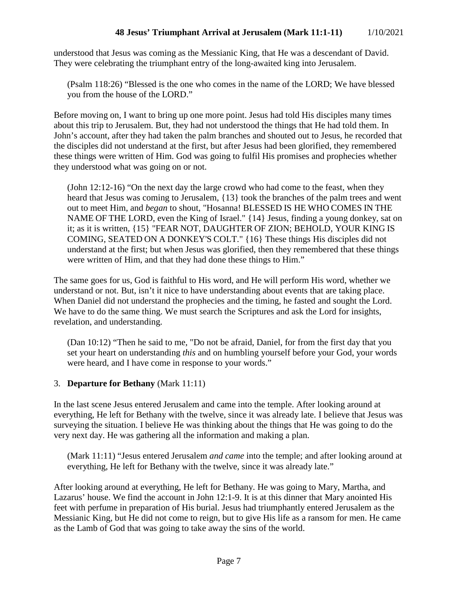understood that Jesus was coming as the Messianic King, that He was a descendant of David. They were celebrating the triumphant entry of the long-awaited king into Jerusalem.

(Psalm 118:26) "Blessed is the one who comes in the name of the LORD; We have blessed you from the house of the LORD."

Before moving on, I want to bring up one more point. Jesus had told His disciples many times about this trip to Jerusalem. But, they had not understood the things that He had told them. In John's account, after they had taken the palm branches and shouted out to Jesus, he recorded that the disciples did not understand at the first, but after Jesus had been glorified, they remembered these things were written of Him. God was going to fulfil His promises and prophecies whether they understood what was going on or not.

(John 12:12-16) "On the next day the large crowd who had come to the feast, when they heard that Jesus was coming to Jerusalem, {13} took the branches of the palm trees and went out to meet Him, and *began* to shout, "Hosanna! BLESSED IS HE WHO COMES IN THE NAME OF THE LORD, even the King of Israel." {14} Jesus, finding a young donkey, sat on it; as it is written, {15} "FEAR NOT, DAUGHTER OF ZION; BEHOLD, YOUR KING IS COMING, SEATED ON A DONKEY'S COLT." {16} These things His disciples did not understand at the first; but when Jesus was glorified, then they remembered that these things were written of Him, and that they had done these things to Him."

The same goes for us, God is faithful to His word, and He will perform His word, whether we understand or not. But, isn't it nice to have understanding about events that are taking place. When Daniel did not understand the prophecies and the timing, he fasted and sought the Lord. We have to do the same thing. We must search the Scriptures and ask the Lord for insights, revelation, and understanding.

(Dan 10:12) "Then he said to me, "Do not be afraid, Daniel, for from the first day that you set your heart on understanding *this* and on humbling yourself before your God, your words were heard, and I have come in response to your words."

# 3. **Departure for Bethany** (Mark 11:11)

In the last scene Jesus entered Jerusalem and came into the temple. After looking around at everything, He left for Bethany with the twelve, since it was already late. I believe that Jesus was surveying the situation. I believe He was thinking about the things that He was going to do the very next day. He was gathering all the information and making a plan.

(Mark 11:11) "Jesus entered Jerusalem *and came* into the temple; and after looking around at everything, He left for Bethany with the twelve, since it was already late."

After looking around at everything, He left for Bethany. He was going to Mary, Martha, and Lazarus' house. We find the account in John 12:1-9. It is at this dinner that Mary anointed His feet with perfume in preparation of His burial. Jesus had triumphantly entered Jerusalem as the Messianic King, but He did not come to reign, but to give His life as a ransom for men. He came as the Lamb of God that was going to take away the sins of the world.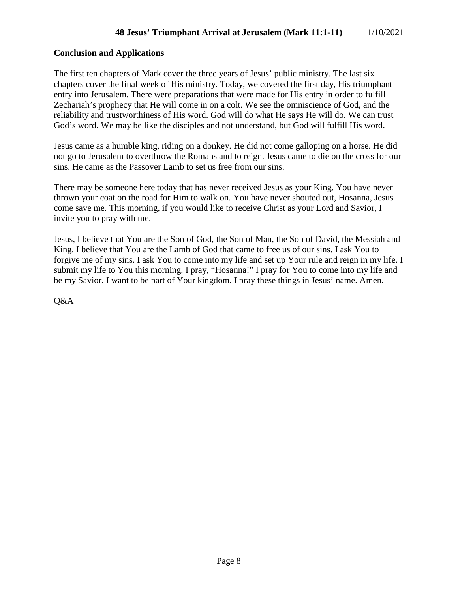# **Conclusion and Applications**

The first ten chapters of Mark cover the three years of Jesus' public ministry. The last six chapters cover the final week of His ministry. Today, we covered the first day, His triumphant entry into Jerusalem. There were preparations that were made for His entry in order to fulfill Zechariah's prophecy that He will come in on a colt. We see the omniscience of God, and the reliability and trustworthiness of His word. God will do what He says He will do. We can trust God's word. We may be like the disciples and not understand, but God will fulfill His word.

Jesus came as a humble king, riding on a donkey. He did not come galloping on a horse. He did not go to Jerusalem to overthrow the Romans and to reign. Jesus came to die on the cross for our sins. He came as the Passover Lamb to set us free from our sins.

There may be someone here today that has never received Jesus as your King. You have never thrown your coat on the road for Him to walk on. You have never shouted out, Hosanna, Jesus come save me. This morning, if you would like to receive Christ as your Lord and Savior, I invite you to pray with me.

Jesus, I believe that You are the Son of God, the Son of Man, the Son of David, the Messiah and King. I believe that You are the Lamb of God that came to free us of our sins. I ask You to forgive me of my sins. I ask You to come into my life and set up Your rule and reign in my life. I submit my life to You this morning. I pray, "Hosanna!" I pray for You to come into my life and be my Savior. I want to be part of Your kingdom. I pray these things in Jesus' name. Amen.

Q&A